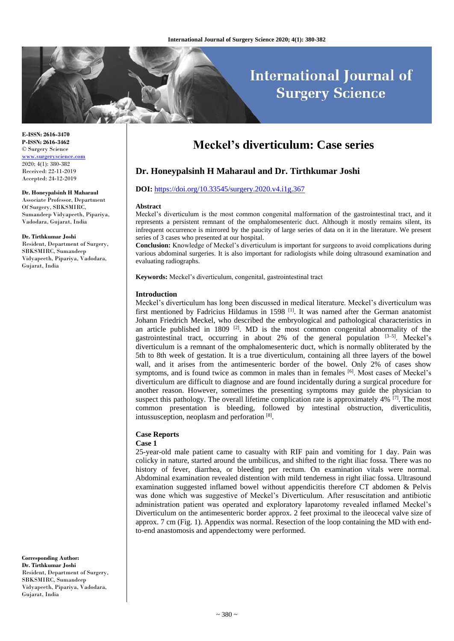# **International Journal of Surgery Science**

**E-ISSN: 2616-3470 P-ISSN: 2616-3462** © Surgery Science <www.surgeryscience.com> 2020; 4(1): 380-382 Received: 22-11-2019 Accepted: 24-12-2019

## **Dr. Honeypalsinh H Maharaul**

Associate Professor, Department Of Surgery, SBKSMIRC, Sumandeep Vidyapeeth, Pipariya, Vadodara, Gujarat, India

**Dr. Tirthkumar Joshi**

Resident, Department of Surgery, SBKSMIRC, Sumandeep Vidyapeeth, Pipariya, Vadodara, Gujarat, India

**Corresponding Author: Dr. Tirthkumar Joshi** Resident, Department of Surgery, SBKSMIRC, Sumandeep Vidyapeeth, Pipariya, Vadodara, Gujarat, India

# **Meckel's diverticulum: Case series**

# **Dr. Honeypalsinh H Maharaul and Dr. Tirthkumar Joshi**

# **DOI:** <https://doi.org/10.33545/surgery.2020.v4.i1g.367>

#### **Abstract**

Meckel's diverticulum is the most common congenital malformation of the gastrointestinal tract, and it represents a persistent remnant of the omphalomesenteric duct. Although it mostly remains silent, its infrequent occurrence is mirrored by the paucity of large series of data on it in the literature. We present series of 3 cases who presented at our hospital.

**Conclusion:** Knowledge of Meckel's diverticulum is important for surgeons to avoid complications during various abdominal surgeries. It is also important for radiologists while doing ultrasound examination and evaluating radiographs.

**Keywords:** Meckel's diverticulum, congenital, gastrointestinal tract

#### **Introduction**

Meckel's diverticulum has long been discussed in medical literature. Meckel's diverticulum was first mentioned by Fadricius Hildamus in 1598  $^{[1]}$ . It was named after the German anatomist Johann Friedrich Meckel, who described the embryological and pathological characteristics in an article published in 1809  $[2]$ . MD is the most common congenital abnormality of the gastrointestinal tract, occurring in about 2% of the general population  $[3-5]$ . Meckel's diverticulum is a remnant of the omphalomesenteric duct, which is normally obliterated by the 5th to 8th week of gestation. It is a true diverticulum, containing all three layers of the bowel wall, and it arises from the antimesenteric border of the bowel. Only 2% of cases show symptoms, and is found twice as common in males than in females <sup>[6]</sup>. Most cases of Meckel's diverticulum are difficult to diagnose and are found incidentally during a surgical procedure for another reason. However, sometimes the presenting symptoms may guide the physician to suspect this pathology. The overall lifetime complication rate is approximately  $4\%$  [7]. The most common presentation is bleeding, followed by intestinal obstruction, diverticulitis, intussusception, neoplasm and perforation [8].

# **Case Reports**

### **Case 1**

25-year-old male patient came to casualty with RIF pain and vomiting for 1 day. Pain was colicky in nature, started around the umbilicus, and shifted to the right iliac fossa. There was no history of fever, diarrhea, or bleeding per rectum. On examination vitals were normal. Abdominal examination revealed distention with mild tenderness in right iliac fossa. Ultrasound examination suggested inflamed bowel without appendicitis therefore CT abdomen & Pelvis was done which was suggestive of Meckel's Diverticulum. After resuscitation and antibiotic administration patient was operated and exploratory laparotomy revealed inflamed Meckel's Diverticulum on the antimesenteric border approx. 2 feet proximal to the ileocecal valve size of approx. 7 cm (Fig. 1). Appendix was normal. Resection of the loop containing the MD with endto-end anastomosis and appendectomy were performed.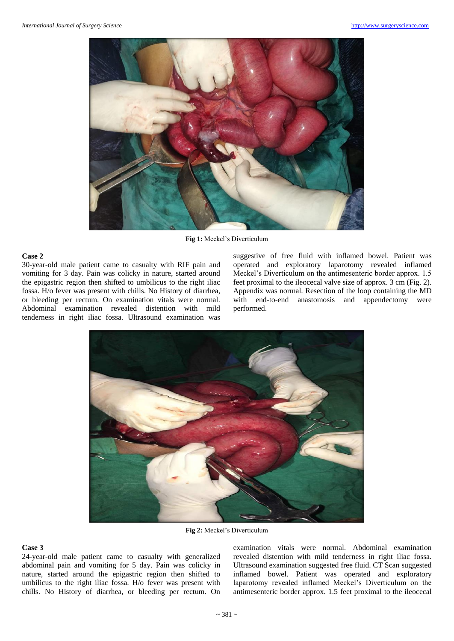

**Fig 1:** Meckel's Diverticulum

### **Case 2**

30-year-old male patient came to casualty with RIF pain and vomiting for 3 day. Pain was colicky in nature, started around the epigastric region then shifted to umbilicus to the right iliac fossa. H/o fever was present with chills. No History of diarrhea, or bleeding per rectum. On examination vitals were normal. Abdominal examination revealed distention with mild tenderness in right iliac fossa. Ultrasound examination was

suggestive of free fluid with inflamed bowel. Patient was operated and exploratory laparotomy revealed inflamed Meckel's Diverticulum on the antimesenteric border approx. 1.5 feet proximal to the ileocecal valve size of approx. 3 cm (Fig. 2). Appendix was normal. Resection of the loop containing the MD with end-to-end anastomosis and appendectomy were performed.



**Fig 2:** Meckel's Diverticulum

# **Case 3**

24-year-old male patient came to casualty with generalized abdominal pain and vomiting for 5 day. Pain was colicky in nature, started around the epigastric region then shifted to umbilicus to the right iliac fossa. H/o fever was present with chills. No History of diarrhea, or bleeding per rectum. On

examination vitals were normal. Abdominal examination revealed distention with mild tenderness in right iliac fossa. Ultrasound examination suggested free fluid. CT Scan suggested inflamed bowel. Patient was operated and exploratory laparotomy revealed inflamed Meckel's Diverticulum on the antimesenteric border approx. 1.5 feet proximal to the ileocecal